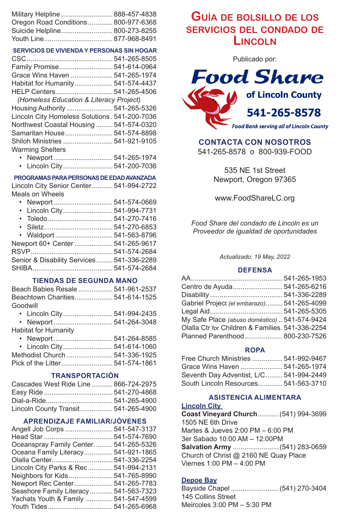| Military Helpline  888-457-4838     |  |
|-------------------------------------|--|
| Oregon Road Conditions 800-977-6368 |  |
| Suicide Helpline 800-273-8255       |  |
|                                     |  |

#### **SERVICIOS DE VIVIENDA Y PERSONAS SIN HOGAR**

| Family Promise 541-614-0964                   |  |
|-----------------------------------------------|--|
| Grace Wins Haven  541-265-1974                |  |
| Habitat for Humanity 541-574-4437             |  |
|                                               |  |
| (Homeless Education & Literacy Project)       |  |
| Housing Authority  541-265-5326               |  |
| Lincoln City Homeless Solutions. 541-200-7036 |  |
| Northwest Coastal Housing 541-574-0320        |  |
| Samaritan House 541-574-8898                  |  |
| Shiloh Ministries  541-921-9105               |  |
| <b>Warming Shelters</b>                       |  |
|                                               |  |

• Lincoln City.......................... 541-200-7036

#### **PROGRAMAS PARA PERSONAS DE EDAD AVANZADA**

Lincoln City Senior Center........... 541-994-2722 Meals on Wheels

| • Lincoln City 541-994-7731               |  |
|-------------------------------------------|--|
|                                           |  |
|                                           |  |
| • Waldport  541-563-8796                  |  |
| Newport 60+ Center  541-265-9617          |  |
|                                           |  |
| Senior & Disability Services 541-336-2289 |  |
|                                           |  |
|                                           |  |

## **TIENDAS DE SEGUNDA MANO**

| Beach Babies Resale  541-961-2537 |  |
|-----------------------------------|--|
| Beachtown Charities 541-614-1525  |  |
| Goodwill                          |  |
|                                   |  |

| Johitat far Uumanity |  |
|----------------------|--|

Habitat for Humanity

| • Lincoln City 541-614-1060    |  |
|--------------------------------|--|
| Methodist Church  541-336-1925 |  |
|                                |  |
|                                |  |

## **TRANSPORTACIÓN**

| Cascades West Ride Line  866-724-2975 |  |
|---------------------------------------|--|
|                                       |  |
|                                       |  |
| Lincoln County Transit 541-265-4900   |  |

## **APRENDIZAJE FAMILIAR/JÓVENES**

| Angell Job Corps  541-547-3137        |  |
|---------------------------------------|--|
|                                       |  |
| Oceanspray Family Center 541-265-5326 |  |
| Oceana Family Literacy 541-921-1865   |  |
|                                       |  |
| Lincoln City Parks & Rec 541-994-2131 |  |
| Neighbors for Kids 541-765-8990       |  |
| Newport Rec Center 541-265-7783       |  |
| Seashore Family Literacy 541-563-7323 |  |
| Yachats Youth & Family  541-547-4599  |  |
|                                       |  |
|                                       |  |

# **Guía de bolsillo de los servicios del condado de Lincoln**

Publicado por:



## **CONTACTA CON NOSOTROS**

541-265-8578 o 800-939-FOOD

535 NE 1st Street Newport, Oregon 97365

www.FoodShareLC.org

*Food Share del condado de Lincoln es un Proveedor de igualdad de oportunidades*

#### *Actualizado: 19 May, 2022*

## **DEFENSA**

| Centro de Ayuda 541-265-6216                     |  |
|--------------------------------------------------|--|
|                                                  |  |
| Gabriel Project (el embarazo) 541-265-4099       |  |
|                                                  |  |
| My Safe Place (abuso doméstico)  541-574-9424    |  |
| Olalla Ctr for Children & Families, 541-336-2254 |  |
| Planned Parenthood 800-230-7526                  |  |

## **ROPA**

| Free Church Ministries  541-992-9467    |  |
|-----------------------------------------|--|
| Grace Wins Haven  541-265-1974          |  |
| Seventh Day Adventist, L/C 541-994-2449 |  |
| South Lincoln Resources 541-563-3710    |  |

## **ASISTENCIA ALIMENTARA**

**Lincoln City**

**Coast Vineyard Church**...........(541) 994-3699 1505 NE 6th Drive Martes & Jueves 2:00 PM – 6:00 PM 3er Sabado 10:00 AM – 12:00PM **Salvation Army** ........................(541) 283-0659 Church of Christ @ 2160 NE Quay Place Viernes 1:00 PM – 4:00 PM

## **Depoe Bay**

Bayside Chapel .........................(541) 270-3404 145 Collins Street Meircoles 3:00 PM – 5:30 PM